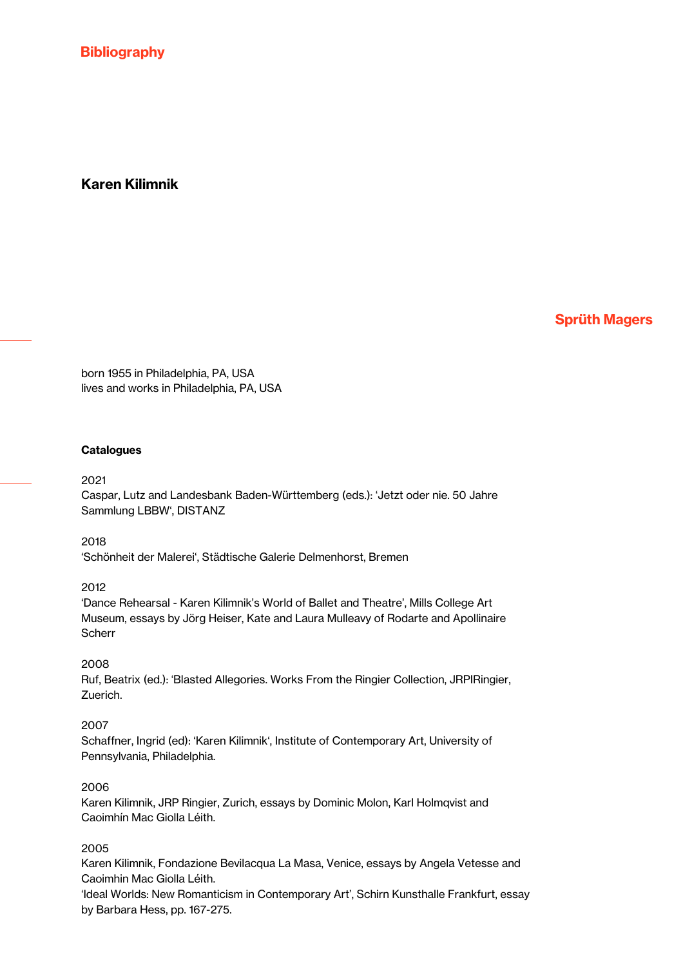# Karen Kilimnik

Sprüth Magers

born 1955 in Philadelphia, PA, USA lives and works in Philadelphia, PA, USA

#### **Catalogues**

#### 2021

Caspar, Lutz and Landesbank Baden-Württemberg (eds.): 'Jetzt oder nie. 50 Jahre Sammlung LBBW', DISTANZ

#### 2018

'Schönheit der Malerei', Städtische Galerie Delmenhorst, Bremen

#### 2012

'Dance Rehearsal - Karen Kilimnik's World of Ballet and Theatre', Mills College Art Museum, essays by Jörg Heiser, Kate and Laura Mulleavy of Rodarte and Apollinaire **Scherr** 

#### 2008

Ruf, Beatrix (ed.): 'Blasted Allegories. Works From the Ringier Collection, JRPIRingier, Zuerich.

### 2007

Schaffner, Ingrid (ed): 'Karen Kilimnik', Institute of Contemporary Art, University of Pennsylvania, Philadelphia.

#### 2006

Karen Kilimnik, JRP Ringier, Zurich, essays by Dominic Molon, Karl Holmqvist and Caoimhín Mac Giolla Léith.

### 2005

Karen Kilimnik, Fondazione Bevilacqua La Masa, Venice, essays by Angela Vetesse and Caoimhin Mac Giolla Léith.

'Ideal Worlds: New Romanticism in Contemporary Art', Schirn Kunsthalle Frankfurt, essay by Barbara Hess, pp. 167-275.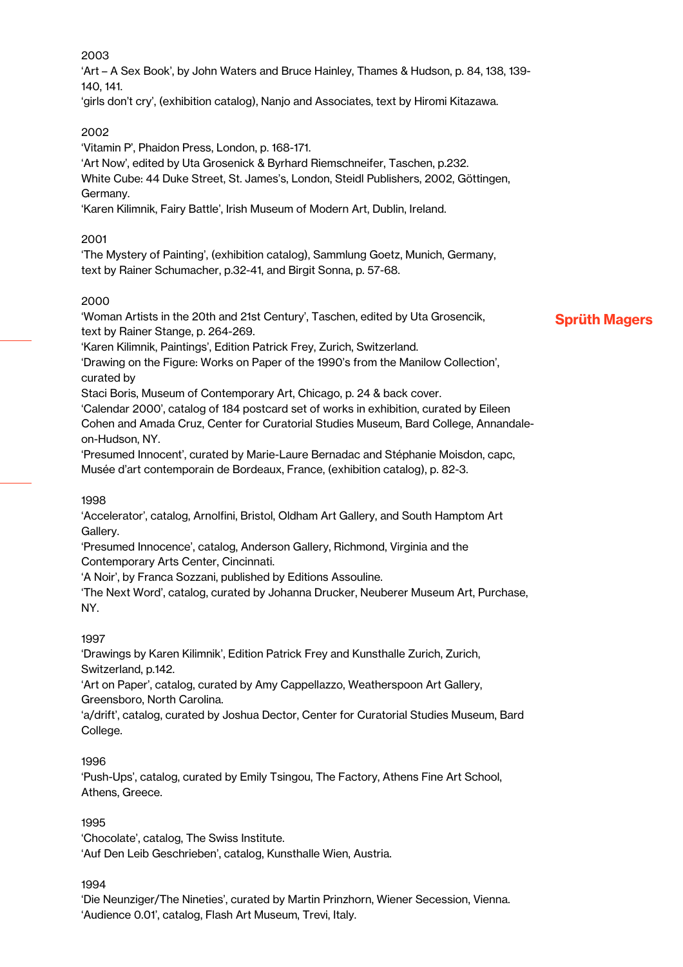'Art – A Sex Book', by John Waters and Bruce Hainley, Thames & Hudson, p. 84, 138, 139- 140, 141.

'girls don't cry', (exhibition catalog), Nanjo and Associates, text by Hiromi Kitazawa.

# 2002

'Vitamin P', Phaidon Press, London, p. 168-171.

'Art Now', edited by Uta Grosenick & Byrhard Riemschneifer, Taschen, p.232. White Cube: 44 Duke Street, St. James's, London, Steidl Publishers, 2002, Göttingen, Germany.

'Karen Kilimnik, Fairy Battle', Irish Museum of Modern Art, Dublin, Ireland.

# 2001

'The Mystery of Painting', (exhibition catalog), Sammlung Goetz, Munich, Germany, text by Rainer Schumacher, p.32-41, and Birgit Sonna, p. 57-68.

# 2000

'Woman Artists in the 20th and 21st Century', Taschen, edited by Uta Grosencik, text by Rainer Stange, p. 264-269.

# Sprüth Magers

'Karen Kilimnik, Paintings', Edition Patrick Frey, Zurich, Switzerland.

'Drawing on the Figure: Works on Paper of the 1990's from the Manilow Collection', curated by

Staci Boris, Museum of Contemporary Art, Chicago, p. 24 & back cover.

'Calendar 2000', catalog of 184 postcard set of works in exhibition, curated by Eileen Cohen and Amada Cruz, Center for Curatorial Studies Museum, Bard College, Annandaleon-Hudson, NY.

'Presumed Innocent', curated by Marie-Laure Bernadac and Stéphanie Moisdon, capc, Musée d'art contemporain de Bordeaux, France, (exhibition catalog), p. 82-3.

# 1998

'Accelerator', catalog, Arnolfini, Bristol, Oldham Art Gallery, and South Hamptom Art Gallery.

'Presumed Innocence', catalog, Anderson Gallery, Richmond, Virginia and the Contemporary Arts Center, Cincinnati.

'A Noir', by Franca Sozzani, published by Editions Assouline.

'The Next Word', catalog, curated by Johanna Drucker, Neuberer Museum Art, Purchase, NY.

# 1997

'Drawings by Karen Kilimnik', Edition Patrick Frey and Kunsthalle Zurich, Zurich, Switzerland, p.142.

'Art on Paper', catalog, curated by Amy Cappellazzo, Weatherspoon Art Gallery, Greensboro, North Carolina.

'a/drift', catalog, curated by Joshua Dector, Center for Curatorial Studies Museum, Bard College.

# 1996

'Push-Ups', catalog, curated by Emily Tsingou, The Factory, Athens Fine Art School, Athens, Greece.

# 1995

'Chocolate', catalog, The Swiss Institute. 'Auf Den Leib Geschrieben', catalog, Kunsthalle Wien, Austria.

# 1994

'Die Neunziger/The Nineties', curated by Martin Prinzhorn, Wiener Secession, Vienna. 'Audience 0.01', catalog, Flash Art Museum, Trevi, Italy.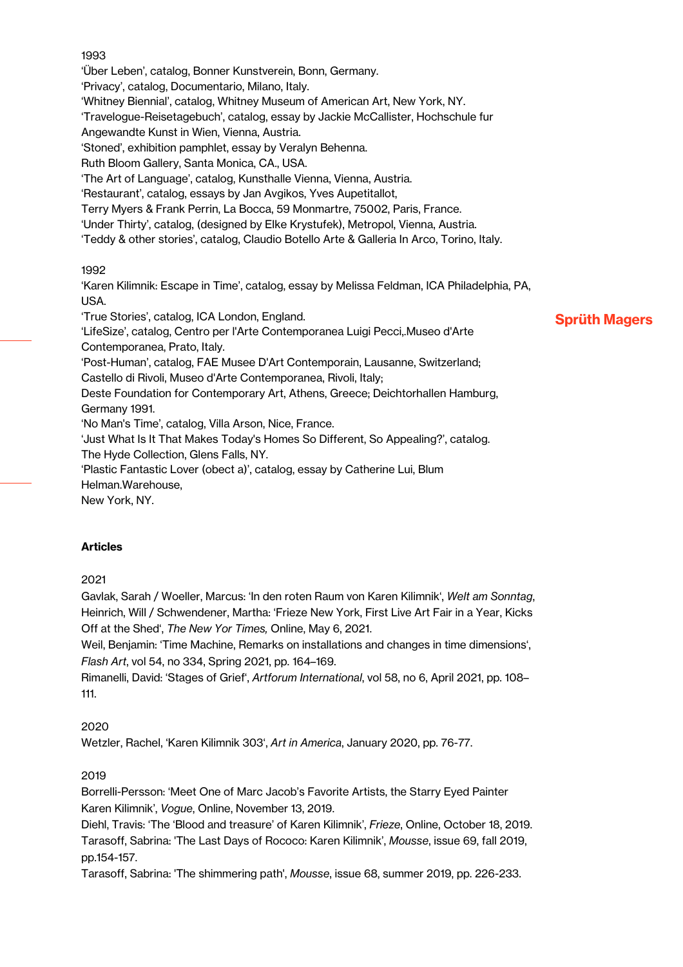'Über Leben', catalog, Bonner Kunstverein, Bonn, Germany. 'Privacy', catalog, Documentario, Milano, Italy. 'Whitney Biennial', catalog, Whitney Museum of American Art, New York, NY. 'Travelogue-Reisetagebuch', catalog, essay by Jackie McCallister, Hochschule fur Angewandte Kunst in Wien, Vienna, Austria. 'Stoned', exhibition pamphlet, essay by Veralyn Behenna. Ruth Bloom Gallery, Santa Monica, CA., USA. 'The Art of Language', catalog, Kunsthalle Vienna, Vienna, Austria. 'Restaurant', catalog, essays by Jan Avgikos, Yves Aupetitallot, Terry Myers & Frank Perrin, La Bocca, 59 Monmartre, 75002, Paris, France. 'Under Thirty', catalog, (designed by Elke Krystufek), Metropol, Vienna, Austria. 'Teddy & other stories', catalog, Claudio Botello Arte & Galleria In Arco, Torino, Italy. 1992 'Karen Kilimnik: Escape in Time', catalog, essay by Melissa Feldman, ICA Philadelphia, PA, USA. 'True Stories', catalog, ICA London, England. 'LifeSize', catalog, Centro per l'Arte Contemporanea Luigi Pecci,.Museo d'Arte Contemporanea, Prato, Italy. 'Post-Human', catalog, FAE Musee D'Art Contemporain, Lausanne, Switzerland; Castello di Rivoli, Museo d'Arte Contemporanea, Rivoli, Italy;

Sprüth Magers

Deste Foundation for Contemporary Art, Athens, Greece; Deichtorhallen Hamburg, Germany 1991.

'No Man's Time', catalog, Villa Arson, Nice, France.

'Just What Is It That Makes Today's Homes So Different, So Appealing?', catalog. The Hyde Collection, Glens Falls, NY.

'Plastic Fantastic Lover (obect a)', catalog, essay by Catherine Lui, Blum Helman.Warehouse,

New York, NY.

### Articles

2021

Gavlak, Sarah / Woeller, Marcus: 'In den roten Raum von Karen Kilimnik', *Welt am Sonntag*, Heinrich, Will / Schwendener, Martha: 'Frieze New York, First Live Art Fair in a Year, Kicks Off at the Shed', *The New Yor Times,* Online, May 6, 2021.

Weil, Benjamin: 'Time Machine, Remarks on installations and changes in time dimensions', *Flash Art*, vol 54, no 334, Spring 2021, pp. 164–169.

Rimanelli, David: 'Stages of Grief', *Artforum International*, vol 58, no 6, April 2021, pp. 108– 111.

### 2020

Wetzler, Rachel, 'Karen Kilimnik 303', *Art in America*, January 2020, pp. 76-77.

### 2019

Borrelli-Persson: 'Meet One of Marc Jacob's Favorite Artists, the Starry Eyed Painter Karen Kilimnik', *Vogue*, Online, November 13, 2019.

Diehl, Travis: 'The 'Blood and treasure' of Karen Kilimnik', *Frieze*, Online, October 18, 2019. Tarasoff, Sabrina: 'The Last Days of Rococo: Karen Kilimnik', *Mousse*, issue 69, fall 2019, pp.154-157.

Tarasoff, Sabrina: 'The shimmering path', *Mousse*, issue 68, summer 2019, pp. 226-233.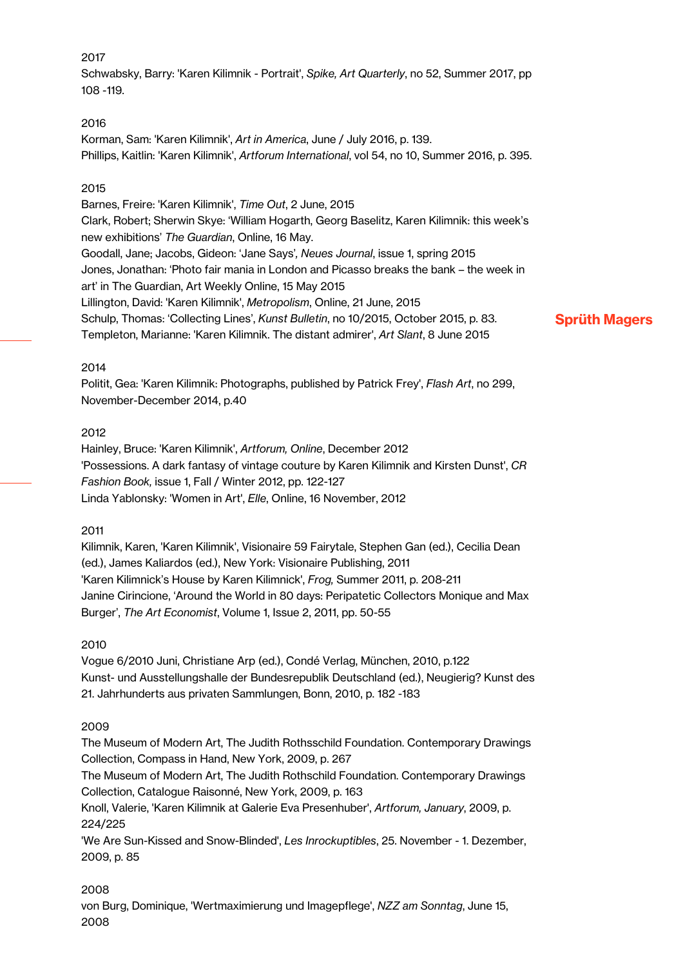Schwabsky, Barry: 'Karen Kilimnik - Portrait', *Spike, Art Quarterly*, no 52, Summer 2017, pp 108 -119.

## 2016

Korman, Sam: 'Karen Kilimnik', *Art in America*, June / July 2016, p. 139. Phillips, Kaitlin: 'Karen Kilimnik', *Artforum International*, vol 54, no 10, Summer 2016, p. 395.

## 2015

Barnes, Freire: 'Karen Kilimnik', *Time Out*, 2 June, 2015 Clark, Robert; Sherwin Skye: 'William Hogarth, Georg Baselitz, Karen Kilimnik: this week's new exhibitions' *The Guardian*, Online, 16 May. Goodall, Jane; Jacobs, Gideon: 'Jane Says'*, Neues Journal*, issue 1, spring 2015 Jones, Jonathan: 'Photo fair mania in London and Picasso breaks the bank – the week in art' in The Guardian, Art Weekly Online, 15 May 2015 Lillington, David: 'Karen Kilimnik', *Metropolism*, Online, 21 June, 2015 Schulp, Thomas: 'Collecting Lines', *Kunst Bulletin*, no 10/2015, October 2015, p. 83. Templeton, Marianne: 'Karen Kilimnik. The distant admirer', *Art Slant*, 8 June 2015

# Sprüth Magers

## 2014

Politit, Gea: 'Karen Kilimnik: Photographs, published by Patrick Frey', *Flash Art*, no 299, November-December 2014, p.40

### 2012

Hainley, Bruce: 'Karen Kilimnik', *Artforum, Online*, December 2012 'Possessions. A dark fantasy of vintage couture by Karen Kilimnik and Kirsten Dunst', *CR Fashion Book,* issue 1, Fall / Winter 2012, pp. 122-127 Linda Yablonsky: 'Women in Art', *Elle*, Online, 16 November, 2012

### 2011

Kilimnik, Karen, 'Karen Kilimnik', Visionaire 59 Fairytale, Stephen Gan (ed.), Cecilia Dean (ed.), James Kaliardos (ed.), New York: Visionaire Publishing, 2011 'Karen Kilimnick's House by Karen Kilimnick', *Frog,* Summer 2011, p. 208-211 Janine Cirincione, 'Around the World in 80 days: Peripatetic Collectors Monique and Max Burger', *The Art Economist*, Volume 1, Issue 2, 2011, pp. 50-55

# 2010

Vogue 6/2010 Juni, Christiane Arp (ed.), Condé Verlag, München, 2010, p.122 Kunst- und Ausstellungshalle der Bundesrepublik Deutschland (ed.), Neugierig? Kunst des 21. Jahrhunderts aus privaten Sammlungen, Bonn, 2010, p. 182 -183

# 2009

The Museum of Modern Art, The Judith Rothsschild Foundation. Contemporary Drawings Collection, Compass in Hand, New York, 2009, p. 267

The Museum of Modern Art, The Judith Rothschild Foundation. Contemporary Drawings Collection, Catalogue Raisonné, New York, 2009, p. 163

Knoll, Valerie, 'Karen Kilimnik at Galerie Eva Presenhuber', *Artforum, January*, 2009, p. 224/225

'We Are Sun-Kissed and Snow-Blinded', *Les Inrockuptibles*, 25. November - 1. Dezember, 2009, p. 85

# 2008

von Burg, Dominique, 'Wertmaximierung und Imagepflege', *NZZ am Sonntag*, June 15, 2008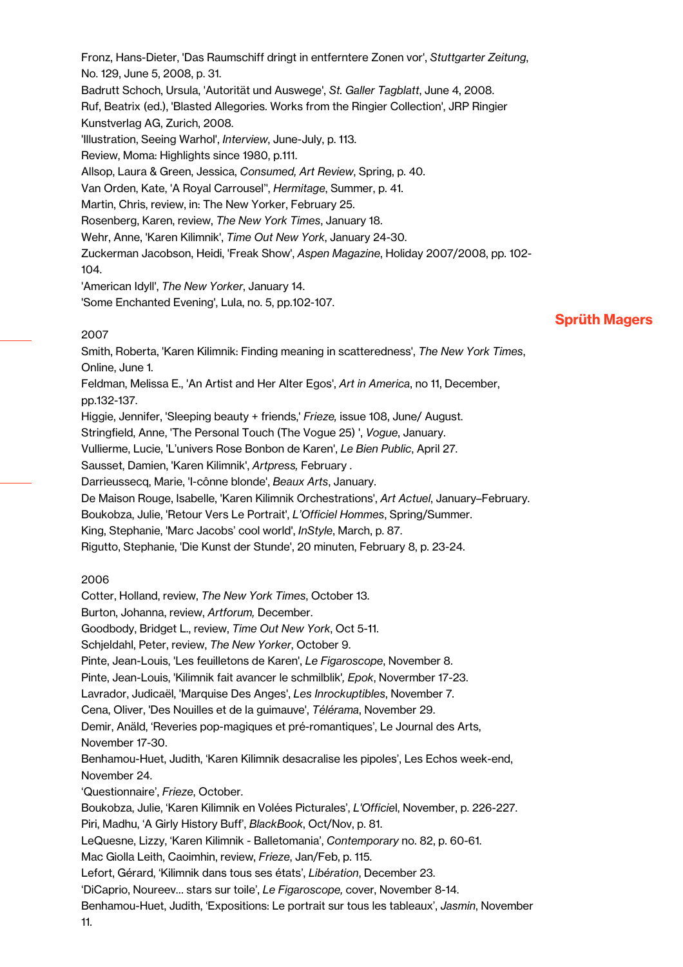Fronz, Hans-Dieter, 'Das Raumschiff dringt in entferntere Zonen vor', *Stuttgarter Zeitung*, No. 129, June 5, 2008, p. 31. Badrutt Schoch, Ursula, 'Autorität und Auswege', *St. Galler Tagblatt*, June 4, 2008. Ruf, Beatrix (ed.), 'Blasted Allegories. Works from the Ringier Collection', JRP Ringier Kunstverlag AG, Zurich, 2008. 'Illustration, Seeing Warhol', *Interview*, June-July, p. 113. Review, Moma: Highlights since 1980, p.111. Allsop, Laura & Green, Jessica, *Consumed, Art Review*, Spring, p. 40. Van Orden, Kate, 'A Royal Carrousel'', *Hermitage*, Summer, p. 41. Martin, Chris, review, in: The New Yorker, February 25. Rosenberg, Karen, review, *The New York Times*, January 18. Wehr, Anne, 'Karen Kilimnik', *Time Out New York*, January 24-30. Zuckerman Jacobson, Heidi, 'Freak Show', *Aspen Magazine*, Holiday 2007/2008, pp. 102- 104. 'American Idyll', *The New Yorker*, January 14.

'Some Enchanted Evening', Lula, no. 5, pp.102-107.

## 2007

Smith, Roberta, 'Karen Kilimnik: Finding meaning in scatteredness', *The New York Times*, Online, June 1.

Feldman, Melissa E., 'An Artist and Her Alter Egos', *Art in America*, no 11, December, pp.132-137.

Higgie, Jennifer, 'Sleeping beauty + friends,' *Frieze,* issue 108, June/ August.

Stringfield, Anne, 'The Personal Touch (The Vogue 25) ', *Vogue*, January.

Vullierme, Lucie, 'L'univers Rose Bonbon de Karen', *Le Bien Public*, April 27.

Sausset, Damien, 'Karen Kilimnik', *Artpress,* February .

Darrieussecq, Marie, 'I-cônne blonde', *Beaux Arts*, January.

De Maison Rouge, Isabelle, 'Karen Kilimnik Orchestrations', *Art Actuel*, January–February.

Boukobza, Julie, 'Retour Vers Le Portrait', *L'Officiel Hommes*, Spring/Summer.

King, Stephanie, 'Marc Jacobs' cool world', *InStyle*, March, p. 87.

Rigutto, Stephanie, 'Die Kunst der Stunde', 20 minuten, February 8, p. 23-24.

### 2006

Cotter, Holland, review, *The New York Times*, October 13.

Burton, Johanna, review, *Artforum,* December.

Goodbody, Bridget L., review, *Time Out New York*, Oct 5-11.

Schjeldahl, Peter, review, *The New Yorker*, October 9.

Pinte, Jean-Louis, 'Les feuilletons de Karen', *Le Figaroscope*, November 8.

Pinte, Jean-Louis, 'Kilimnik fait avancer le schmilblik'*, Epok*, Novermber 17-23.

Lavrador, Judicaël, 'Marquise Des Anges', *Les Inrockuptibles*, November 7.

Cena, Oliver, 'Des Nouilles et de la guimauve', *Télérama*, November 29.

Demir, Anäld, 'Reveries pop-magiques et pré-romantiques', Le Journal des Arts,

November 17-30.

Benhamou-Huet, Judith, 'Karen Kilimnik desacralise les pipoles', Les Echos week-end, November 24.

'Questionnaire', *Frieze*, October.

Boukobza, Julie, 'Karen Kilimnik en Volées Picturales', *L'Officie*l, November, p. 226-227.

Piri, Madhu, 'A Girly History Buff', *BlackBook*, Oct/Nov, p. 81.

LeQuesne, Lizzy, 'Karen Kilimnik - Balletomania', *Contemporary* no. 82, p. 60-61.

Mac Giolla Leith, Caoimhin, review, *Frieze*, Jan/Feb, p. 115.

Lefort, Gérard, 'Kilimnik dans tous ses états', *Libération*, December 23.

'DiCaprio, Noureev… stars sur toile', *Le Figaroscope,* cover, November 8-14.

Benhamou-Huet, Judith, 'Expositions: Le portrait sur tous les tableaux', *Jasmin*, November 11.

# Sprüth Magers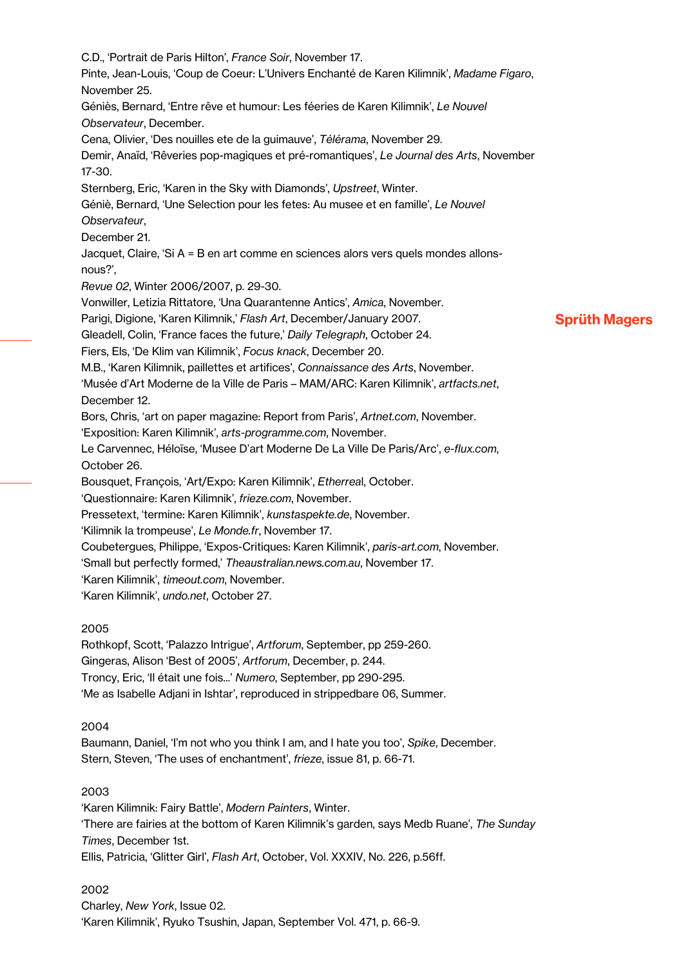Sprüth Magers C.D., 'Portrait de Paris Hilton', *France Soir*, November 17. Pinte, Jean-Louis, 'Coup de Coeur: L'Univers Enchanté de Karen Kilimnik', *Madame Figaro*, November 25. Géniès, Bernard, 'Entre rêve et humour: Les féeries de Karen Kilimnik', *Le Nouvel Observateur*, December. Cena, Olivier, 'Des nouilles ete de la guimauve', *Télérama*, November 29. Demir, Anaïd, 'Rêveries pop-magiques et pré-romantiques', *Le Journal des Arts*, November 17-30. Sternberg, Eric, 'Karen in the Sky with Diamonds', *Upstreet*, Winter. Géniè, Bernard, 'Une Selection pour les fetes: Au musee et en famille', *Le Nouvel Observateur*, December 21. Jacquet, Claire, 'Si A = B en art comme en sciences alors vers quels mondes allonsnous?', *Revue 02*, Winter 2006/2007, p. 29-30. Vonwiller, Letizia Rittatore, 'Una Quarantenne Antics', *Amica*, November. Parigi, Digione, 'Karen Kilimnik,' *Flash Art*, December/January 2007. Gleadell, Colin, 'France faces the future,' *Daily Telegraph*, October 24. Fiers, Els, 'De Klim van Kilimnik', *Focus knack*, December 20. M.B., 'Karen Kilimnik, paillettes et artifices', *Connaissance des Arts*, November. 'Musée d'Art Moderne de la Ville de Paris – MAM/ARC: Karen Kilimnik', *artfacts.net*, December 12. Bors, Chris, 'art on paper magazine: Report from Paris', *Artnet.com*, November. 'Exposition: Karen Kilimnik', *arts-programme.com*, November. Le Carvennec, Héloïse, 'Musee D'art Moderne De La Ville De Paris/Arc', *e-flux.com*, October 26. Bousquet, François, 'Art/Expo: Karen Kilimnik', *Etherrea*l, October. 'Questionnaire: Karen Kilimnik', *frieze.com*, November. Pressetext, 'termine: Karen Kilimnik', *kunstaspekte.de*, November. 'Kilimnik la trompeuse', *Le Monde.fr*, November 17. Coubetergues, Philippe, 'Expos-Critiques: Karen Kilimnik', *paris-art.com*, November. 'Small but perfectly formed,' *Theaustralian.news.com.au*, November 17. 'Karen Kilimnik', *timeout.com*, November. 'Karen Kilimnik', *undo.net*, October 27. 2005 Rothkopf, Scott, 'Palazzo Intrigue', *Artforum*, September, pp 259-260. Gingeras, Alison 'Best of 2005', *Artforum*, December, p. 244. Troncy, Eric, 'Il était une fois...' *Numero*, September, pp 290-295. 'Me as Isabelle Adjani in Ishtar', reproduced in strippedbare 06, Summer. 2004 Baumann, Daniel, 'I'm not who you think I am, and I hate you too', *Spike*, December.

Stern, Steven, 'The uses of enchantment', *frieze*, issue 81, p. 66-71.

### 2003

'Karen Kilimnik: Fairy Battle', *Modern Painters*, Winter. 'There are fairies at the bottom of Karen Kilimnik's garden, says Medb Ruane', *The Sunday Times*, December 1st. Ellis, Patricia, 'Glitter Girl', *Flash Art*, October, Vol. XXXIV, No. 226, p.56ff.

2002 Charley, *New York*, Issue 02. 'Karen Kilimnik', Ryuko Tsushin, Japan, September Vol. 471, p. 66-9.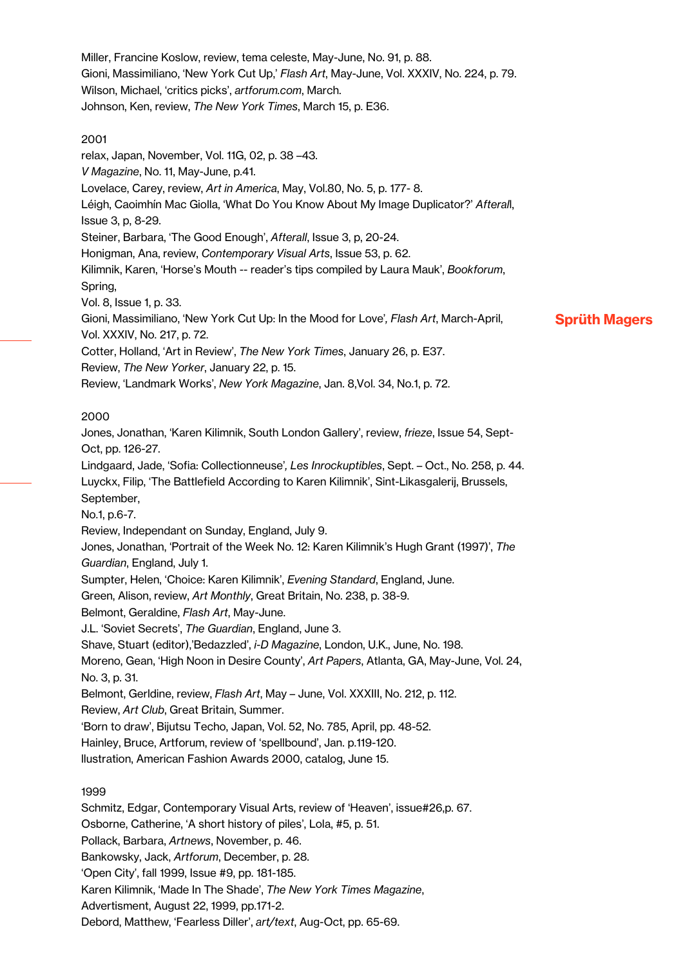Miller, Francine Koslow, review, tema celeste, May-June, No. 91, p. 88. Gioni, Massimiliano, 'New York Cut Up,' *Flash Art*, May-June, Vol. XXXIV, No. 224, p. 79. Wilson, Michael, 'critics picks', *artforum.com*, March. Johnson, Ken, review, *The New York Times*, March 15, p. E36.

## 2001

relax, Japan, November, Vol. 11G, 02, p. 38 –43. *V Magazine*, No. 11, May-June, p.41. Lovelace, Carey, review, *Art in America*, May, Vol.80, No. 5, p. 177- 8. Léigh, Caoimhín Mac Giolla, 'What Do You Know About My Image Duplicator?' *Afteral*l, Issue 3, p, 8-29. Steiner, Barbara, 'The Good Enough', *Afterall*, Issue 3, p, 20-24. Honigman, Ana, review, *Contemporary Visual Arts*, Issue 53, p. 62. Kilimnik, Karen, 'Horse's Mouth -- reader's tips compiled by Laura Mauk', *Bookforum*, Spring, Vol. 8, Issue 1, p. 33. Gioni, Massimiliano, 'New York Cut Up: In the Mood for Love'*, Flash Art*, March-April,

Sprüth Magers

Vol. XXXIV, No. 217, p. 72.

Cotter, Holland, 'Art in Review', *The New York Times*, January 26, p. E37.

Review, *The New Yorker*, January 22, p. 15.

Review, 'Landmark Works', *New York Magazine*, Jan. 8,Vol. 34, No.1, p. 72.

# 2000

Jones, Jonathan, 'Karen Kilimnik, South London Gallery', review, *frieze*, Issue 54, Sept-Oct, pp. 126-27.

Lindgaard, Jade, 'Sofia: Collectionneuse'*, Les Inrockuptibles*, Sept. – Oct., No. 258, p. 44. Luyckx, Filip, 'The Battlefield According to Karen Kilimnik', Sint-Likasgalerij, Brussels, September,

No.1, p.6-7.

Review, Independant on Sunday, England, July 9.

Jones, Jonathan, 'Portrait of the Week No. 12: Karen Kilimnik's Hugh Grant (1997)', *The Guardian*, England, July 1.

Sumpter, Helen, 'Choice: Karen Kilimnik', *Evening Standard*, England, June.

Green, Alison, review, *Art Monthly*, Great Britain, No. 238, p. 38-9.

Belmont, Geraldine, *Flash Art*, May-June.

J.L. 'Soviet Secrets', *The Guardian*, England, June 3.

Shave, Stuart (editor),'Bedazzled', *i-D Magazine*, London, U.K., June, No. 198.

Moreno, Gean, 'High Noon in Desire County', *Art Papers*, Atlanta, GA, May-June, Vol. 24, No. 3, p. 31.

Belmont, Gerldine, review, *Flash Art*, May – June, Vol. XXXIII, No. 212, p. 112.

Review, *Art Club*, Great Britain, Summer.

'Born to draw', Bijutsu Techo, Japan, Vol. 52, No. 785, April, pp. 48-52.

Hainley, Bruce, Artforum, review of 'spellbound', Jan. p.119-120.

llustration, American Fashion Awards 2000, catalog, June 15.

# 1999

Schmitz, Edgar, Contemporary Visual Arts, review of 'Heaven', issue#26,p. 67. Osborne, Catherine, 'A short history of piles', Lola, #5, p. 51. Pollack, Barbara, *Artnews*, November, p. 46. Bankowsky, Jack, *Artforum*, December, p. 28. 'Open City', fall 1999, Issue #9, pp. 181-185. Karen Kilimnik, 'Made In The Shade', *The New York Times Magazine*, Advertisment, August 22, 1999, pp.171-2.

Debord, Matthew, 'Fearless Diller', *art/text*, Aug-Oct, pp. 65-69.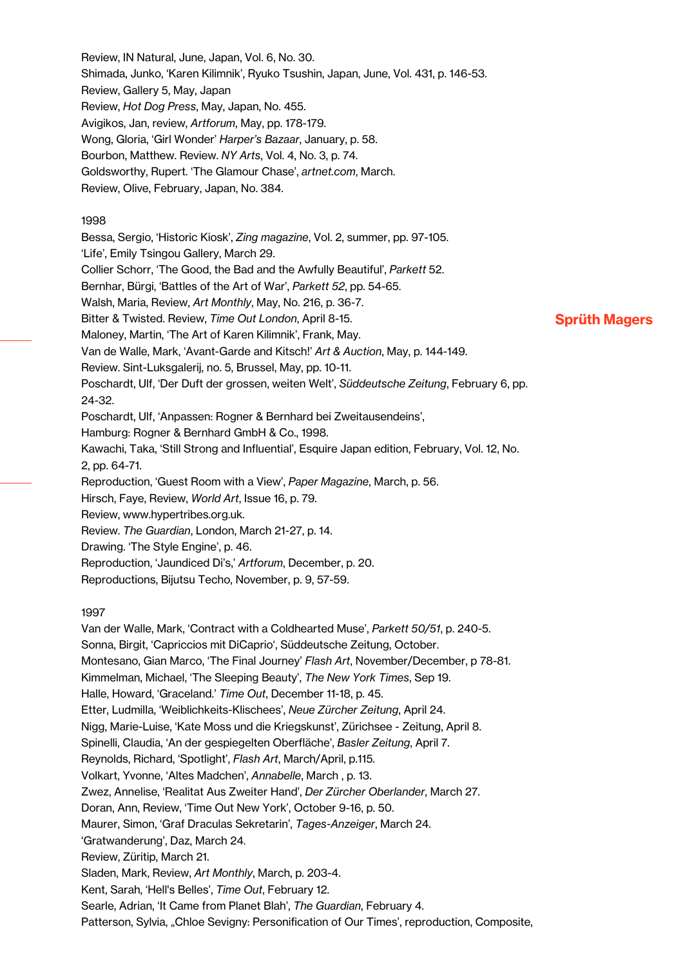Review, IN Natural, June, Japan, Vol. 6, No. 30. Shimada, Junko, 'Karen Kilimnik', Ryuko Tsushin, Japan, June, Vol. 431, p. 146-53. Review, Gallery 5, May, Japan Review, *Hot Dog Press*, May, Japan, No. 455. Avigikos, Jan, review, *Artforum*, May, pp. 178-179. Wong, Gloria, 'Girl Wonder' *Harper's Bazaar*, January, p. 58. Bourbon, Matthew. Review. *NY Arts*, Vol. 4, No. 3, p. 74. Goldsworthy, Rupert. 'The Glamour Chase', *artnet.com*, March. Review, Olive, February, Japan, No. 384.

### 1998

Bessa, Sergio, 'Historic Kiosk', *Zing magazine*, Vol. 2, summer, pp. 97-105. 'Life', Emily Tsingou Gallery, March 29. Collier Schorr, 'The Good, the Bad and the Awfully Beautiful', *Parkett* 52. Bernhar, Bürgi, 'Battles of the Art of War', *Parkett 52*, pp. 54-65. Walsh, Maria, Review, *Art Monthly*, May, No. 216, p. 36-7. Bitter & Twisted. Review, *Time Out London*, April 8-15. Maloney, Martin, 'The Art of Karen Kilimnik', Frank, May. Van de Walle, Mark, 'Avant-Garde and Kitsch!' *Art & Auction*, May, p. 144-149. Review. Sint-Luksgalerij, no. 5, Brussel, May, pp. 10-11. Poschardt, Ulf, 'Der Duft der grossen, weiten Welt', *Süddeutsche Zeitung*, February 6, pp. 24-32. Poschardt, Ulf, 'Anpassen: Rogner & Bernhard bei Zweitausendeins', Hamburg: Rogner & Bernhard GmbH & Co., 1998. Kawachi, Taka, 'Still Strong and Influential', Esquire Japan edition, February, Vol. 12, No. 2, pp. 64-71. Reproduction, 'Guest Room with a View', *Paper Magazine*, March, p. 56. Hirsch, Faye, Review, *World Art*, Issue 16, p. 79. Review, www.hypertribes.org.uk. Review. *The Guardian*, London, March 21-27, p. 14. Drawing. 'The Style Engine', p. 46. Reproduction, 'Jaundiced Di's,' *Artforum*, December, p. 20.

Reproductions, Bijutsu Techo, November, p. 9, 57-59.

#### 1997

Van der Walle, Mark, 'Contract with a Coldhearted Muse', *Parkett 50/51*, p. 240-5. Sonna, Birgit, 'Capriccios mit DiCaprio', Süddeutsche Zeitung, October. Montesano, Gian Marco, 'The Final Journey' *Flash Art*, November/December, p 78-81. Kimmelman, Michael, 'The Sleeping Beauty', *The New York Times*, Sep 19. Halle, Howard, 'Graceland.' *Time Out*, December 11-18, p. 45. Etter, Ludmilla, 'Weiblichkeits-Klischees', *Neue Zürcher Zeitung*, April 24. Nigg, Marie-Luise, 'Kate Moss und die Kriegskunst', Zürichsee - Zeitung, April 8. Spinelli, Claudia, 'An der gespiegelten Oberfläche', *Basler Zeitung*, April 7. Reynolds, Richard, 'Spotlight', *Flash Art*, March/April, p.115. Volkart, Yvonne, 'Altes Madchen', *Annabelle*, March , p. 13. Zwez, Annelise, 'Realitat Aus Zweiter Hand', *Der Zürcher Oberlander*, March 27. Doran, Ann, Review, 'Time Out New York', October 9-16, p. 50. Maurer, Simon, 'Graf Draculas Sekretarin', *Tages-Anzeiger*, March 24. 'Gratwanderung', Daz, March 24. Review, Züritip, March 21. Sladen, Mark, Review, *Art Monthly*, March, p. 203-4. Kent, Sarah, 'Hell's Belles', *Time Out*, February 12. Searle, Adrian, 'It Came from Planet Blah', *The Guardian*, February 4.

# Patterson, Sylvia, "Chloe Sevigny: Personification of Our Times', reproduction, Composite,

# Sprüth Magers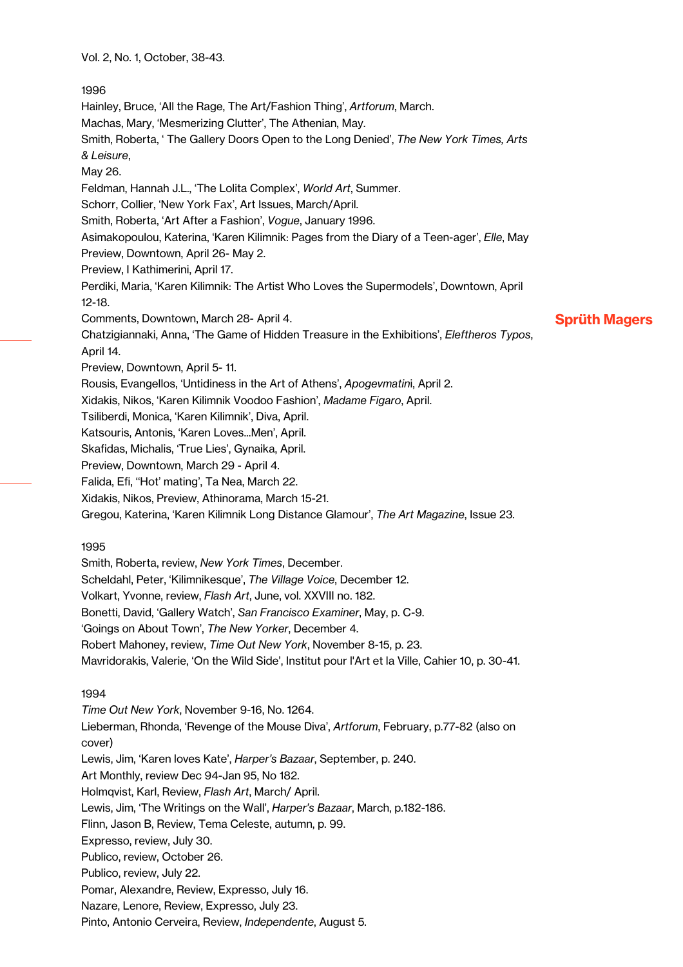Vol. 2, No. 1, October, 38-43.

## 1996

Sprüth Magers Hainley, Bruce, 'All the Rage, The Art/Fashion Thing', *Artforum*, March. Machas, Mary, 'Mesmerizing Clutter', The Athenian, May. Smith, Roberta, ' The Gallery Doors Open to the Long Denied', *The New York Times, Arts & Leisure*, May 26. Feldman, Hannah J.L., 'The Lolita Complex', *World Art*, Summer. Schorr, Collier, 'New York Fax', Art Issues, March/April. Smith, Roberta, 'Art After a Fashion', *Vogue*, January 1996. Asimakopoulou, Katerina, 'Karen Kilimnik: Pages from the Diary of a Teen-ager', *Elle*, May Preview, Downtown, April 26- May 2. Preview, I Kathimerini, April 17. Perdiki, Maria, 'Karen Kilimnik: The Artist Who Loves the Supermodels', Downtown, April 12-18. Comments, Downtown, March 28- April 4. Chatzigiannaki, Anna, 'The Game of Hidden Treasure in the Exhibitions', *Eleftheros Typos*, April 14. Preview, Downtown, April 5- 11. Rousis, Evangellos, 'Untidiness in the Art of Athens', *Apogevmatin*i, April 2. Xidakis, Nikos, 'Karen Kilimnik Voodoo Fashion', *Madame Figaro*, April. Tsiliberdi, Monica, 'Karen Kilimnik', Diva, April. Katsouris, Antonis, 'Karen Loves...Men', April. Skafidas, Michalis, 'True Lies', Gynaika, April. Preview, Downtown, March 29 - April 4. Falida, Efi, ''Hot' mating', Ta Nea, March 22. Xidakis, Nikos, Preview, Athinorama, March 15-21. Gregou, Katerina, 'Karen Kilimnik Long Distance Glamour', *The Art Magazine*, Issue 23.

# 1995

Smith, Roberta, review, *New York Times*, December. Scheldahl, Peter, 'Kilimnikesque', *The Village Voice*, December 12.

Volkart, Yvonne, review, *Flash Art*, June, vol. XXVIII no. 182.

Bonetti, David, 'Gallery Watch', *San Francisco Examiner*, May, p. C-9.

'Goings on About Town', *The New Yorker*, December 4.

Robert Mahoney, review, *Time Out New York*, November 8-15, p. 23.

Mavridorakis, Valerie, 'On the Wild Side', Institut pour l'Art et la Ville, Cahier 10, p. 30-41.

# 1994

*Time Out New York*, November 9-16, No. 1264. Lieberman, Rhonda, 'Revenge of the Mouse Diva', *Artforum*, February, p.77-82 (also on cover) Lewis, Jim, 'Karen loves Kate', *Harper's Bazaar*, September, p. 240. Art Monthly, review Dec 94-Jan 95, No 182. Holmqvist, Karl, Review, *Flash Art*, March/ April. Lewis, Jim, 'The Writings on the Wall', *Harper's Bazaar*, March, p.182-186. Flinn, Jason B, Review, Tema Celeste, autumn, p. 99. Expresso, review, July 30. Publico, review, October 26. Publico, review, July 22. Pomar, Alexandre, Review, Expresso, July 16. Nazare, Lenore, Review, Expresso, July 23. Pinto, Antonio Cerveira, Review, *Independente*, August 5.